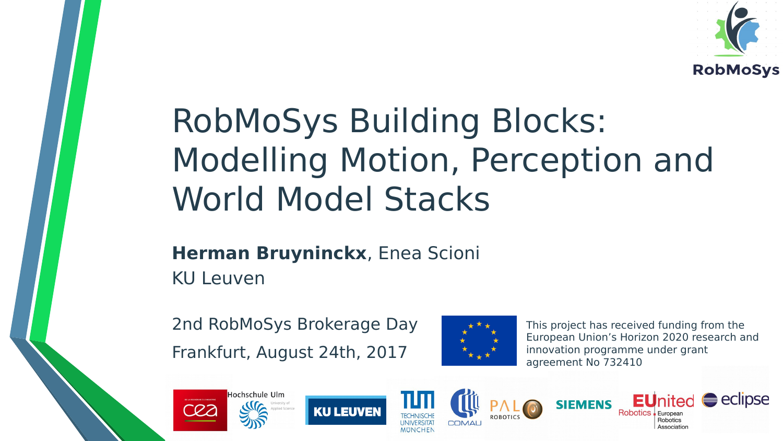

### RobMoSys Building Blocks: Modelling Motion, Perception and World Model Stacks

#### **Herman Bruyninckx**, Enea Scioni KU Leuven

2nd RobMoSys Brokerage Day Frankfurt, August 24th, 2017



This project has received funding from the European Union's Horizon 2020 research and innovation programme under grant agreement No 732410









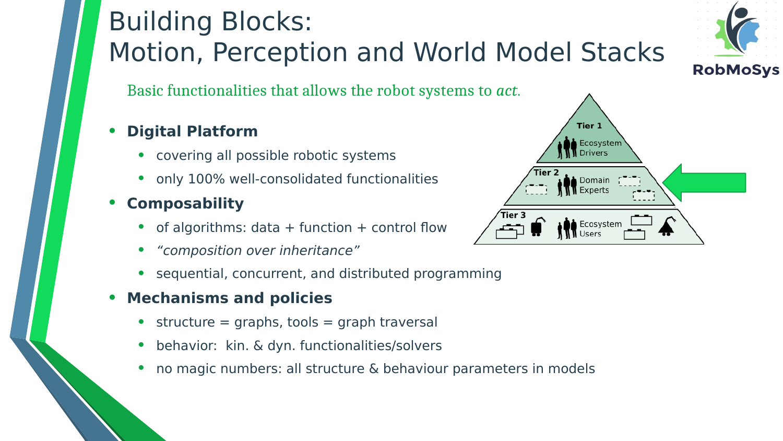### Building Blocks: Motion, Perception and World Model Stacks

Basic functionalities that allows the robot systems to *act*.

#### • **Digital Platform**

- covering all possible robotic systems
- only 100% well-consolidated functionalities
- **Composability**
	- of algorithms:  $data + function + control flow$
	- "composition over inheritance"
	- sequential, concurrent, and distributed programming
- **Mechanisms and policies**
	- structure  $=$  graphs, tools  $=$  graph traversal
	- behavior: kin. & dyn. functionalities/solvers
	- no magic numbers: all structure & behaviour parameters in models



Ecosystem

Tier 3

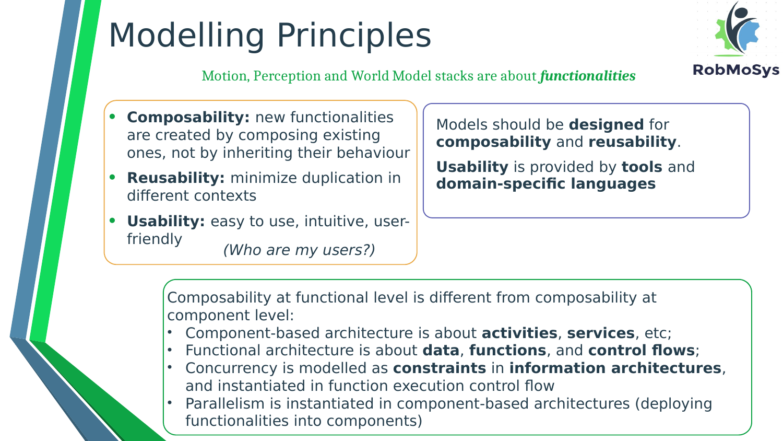# Modelling Principles



Motion, Perception and World Model stacks are about *functionalities*

- **Composability:** new functionalities are created by composing existing ones, not by inheriting their behaviour
- **Reusability:** minimize duplication in different contexts
- **Usability:** easy to use, intuitive, userfriendly (Who are my users?)

Models should be **designed** for **composability** and **reusability**.

**Usability** is provided by **tools** and **domain-specific languages**

Composability at functional level is different from composability at component level:

- Component-based architecture is about **activities**, **services**, etc;
- Functional architecture is about **data**, **functions**, and **control flows**;
- Concurrency is modelled as **constraints** in **information architectures**, and instantiated in function execution control flow
- Parallelism is instantiated in component-based architectures (deploying functionalities into components)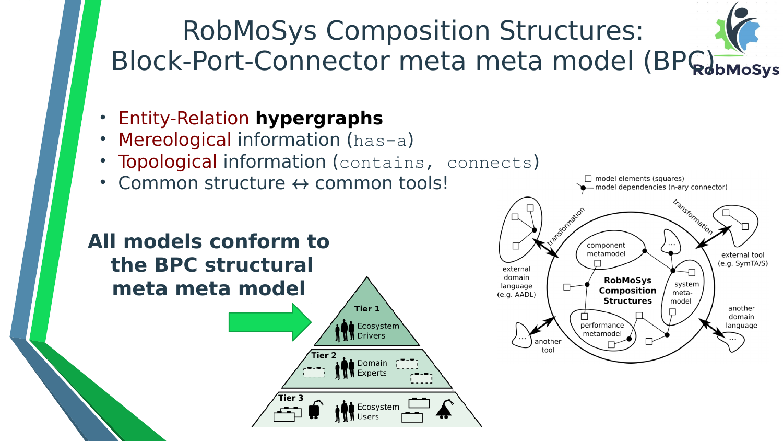

- Entity-Relation **hypergraphs**
- Mereological information (has-a)
- **Topological information (contains, connects)**

Ecosystem

Drivers

Domain Experts

Common structure  $\leftrightarrow$  common tools!



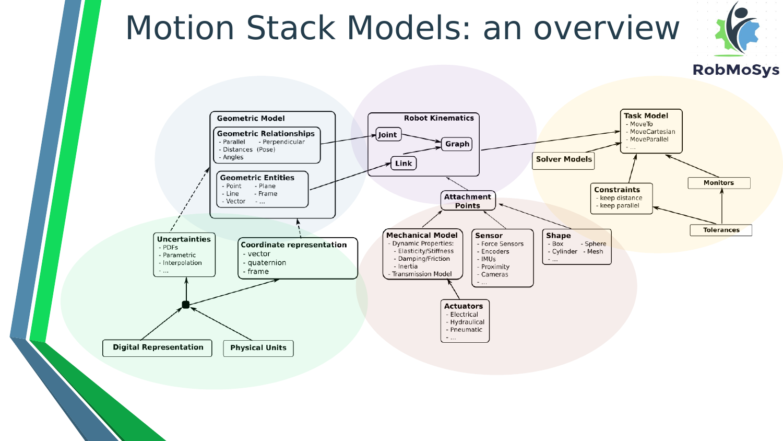### Motion Stack Models: an overview



#### **RobMoSys**

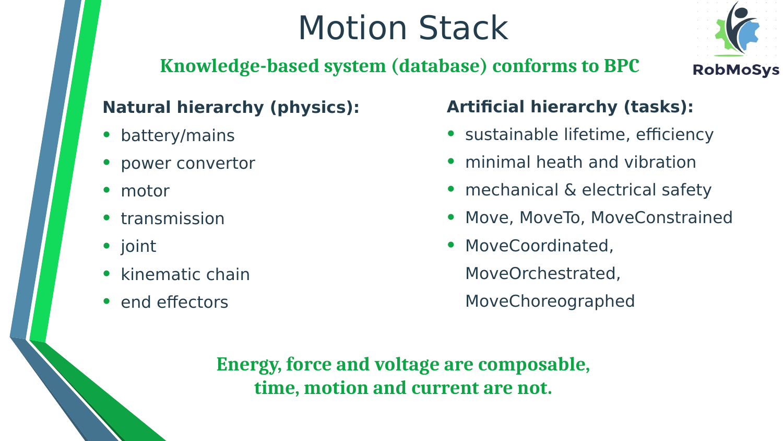### Motion Stack



### **Knowledge-based system (database) conforms to BPC**

#### **Natural hierarchy (physics):**

- battery/mains
- power convertor
- motor
- transmission
- joint
- kinematic chain
- end effectors

#### **Artificial hierarchy (tasks):**

- sustainable lifetime, efficiency
- minimal heath and vibration
- mechanical & electrical safety
- Move, MoveTo, MoveConstrained
- MoveCoordinated,

MoveOrchestrated,

MoveChoreographed

**Energy, force and voltage are composable, time, motion and current are not.**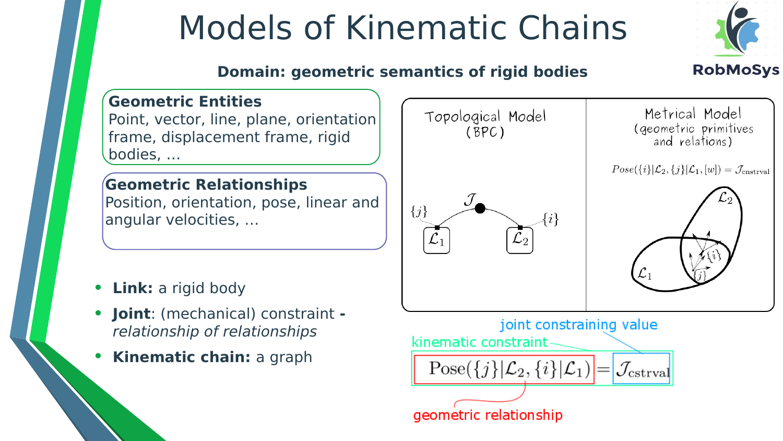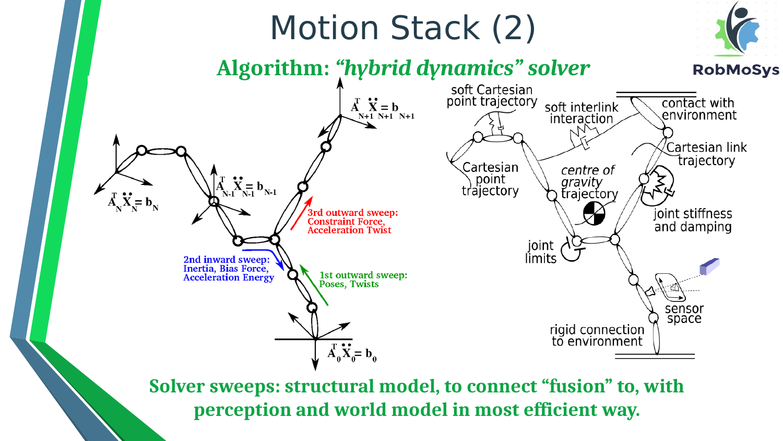

**Solver sweeps: structural model, to connect "fusion" to, with perception and world model in most efficient way.**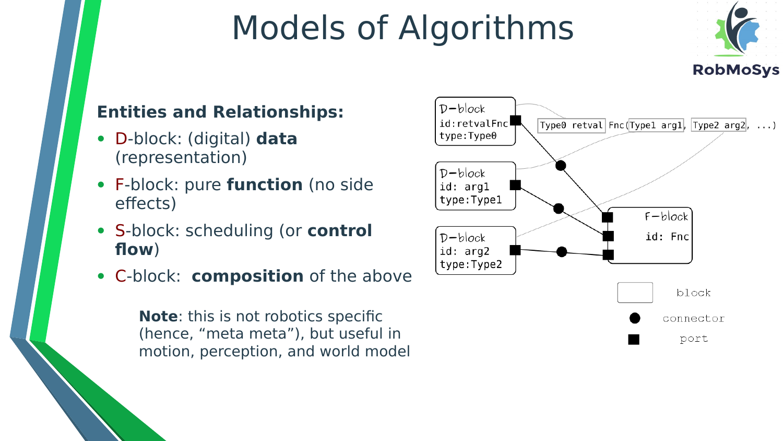## Models of Algorithms



#### **Entities and Relationships:**

- D-block: (digital) **data** (representation)
- F-block: pure **function** (no side effects)
- S-block: scheduling (or **control flow**)
- C-block: **composition** of the above

**Note**: this is not robotics specific (hence, "meta meta"), but useful in motion, perception, and world model

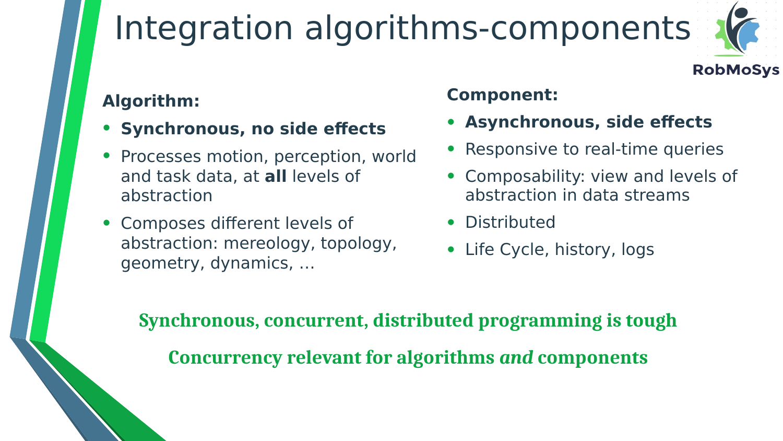## Integration algorithms-components



#### **Algorithm:**

- **Synchronous, no side effects**
- Processes motion, perception, world and task data, at **all** levels of abstraction
- Composes different levels of abstraction: mereology, topology, geometry, dynamics, …

#### **Component:**

- **Asynchronous, side effects**
- Responsive to real-time queries
- Composability: view and levels of abstraction in data streams
- Distributed
- Life Cycle, history, logs

**Synchronous, concurrent, distributed programming is tough**

**Concurrency relevant for algorithms** *and* **components**